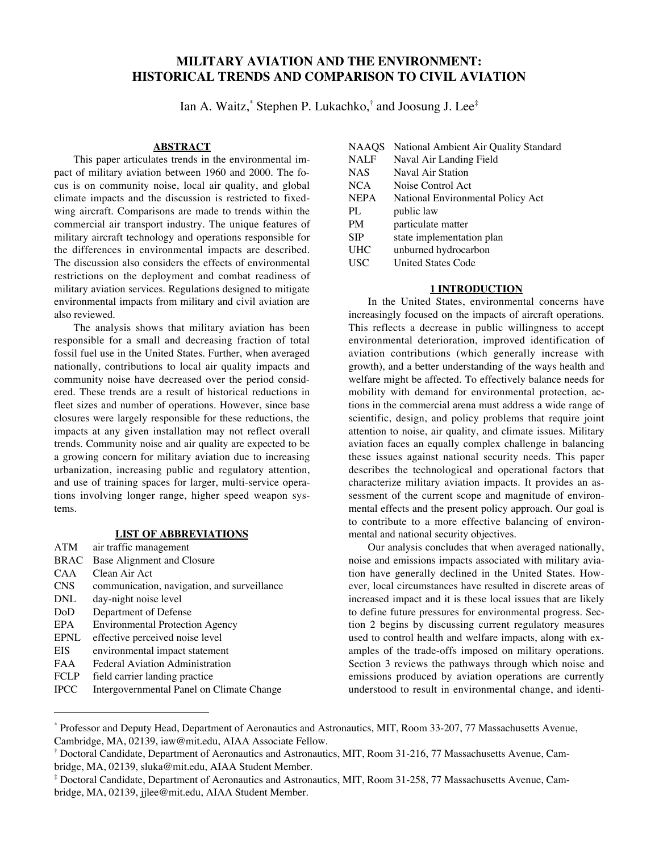# **MILITARY AVIATION AND THE ENVIRONMENT: HISTORICAL TRENDS AND COMPARISON TO CIVIL AVIATION**

Ian A. Waitz, $^*$  Stephen P. Lukachko, $^{\dagger}$  and Joosung J. Lee $^{\ddagger}$ 

#### **ABSTRACT**

This paper articulates trends in the environmental impact of military aviation between 1960 and 2000. The focus is on community noise, local air quality, and global climate impacts and the discussion is restricted to fixedwing aircraft. Comparisons are made to trends within the commercial air transport industry. The unique features of military aircraft technology and operations responsible for the differences in environmental impacts are described. The discussion also considers the effects of environmental restrictions on the deployment and combat readiness of military aviation services. Regulations designed to mitigate environmental impacts from military and civil aviation are also reviewed.

The analysis shows that military aviation has been responsible for a small and decreasing fraction of total fossil fuel use in the United States. Further, when averaged nationally, contributions to local air quality impacts and community noise have decreased over the period considered. These trends are a result of historical reductions in fleet sizes and number of operations. However, since base closures were largely responsible for these reductions, the impacts at any given installation may not reflect overall trends. Community noise and air quality are expected to be a growing concern for military aviation due to increasing urbanization, increasing public and regulatory attention, and use of training spaces for larger, multi-service operations involving longer range, higher speed weapon systems.

### **LIST OF ABBREVIATIONS**

| ATM         | air traffic management                      |
|-------------|---------------------------------------------|
| <b>BRAC</b> | Base Alignment and Closure                  |
| CAA         | Clean Air Act                               |
| <b>CNS</b>  | communication, navigation, and surveillance |
| DNL         | day-night noise level                       |
| DoD         | Department of Defense                       |
| EPA         | <b>Environmental Protection Agency</b>      |
| <b>EPNL</b> | effective perceived noise level             |
| <b>EIS</b>  | environmental impact statement              |
| <b>FAA</b>  | <b>Federal Aviation Administration</b>      |
| <b>FCLP</b> | field carrier landing practice              |
| <b>IPCC</b> | Intergovernmental Panel on Climate Change   |

| <b>NAAOS</b> | National Ambient Air Quality Standard |
|--------------|---------------------------------------|
| <b>NALF</b>  | Naval Air Landing Field               |
| <b>NAS</b>   | Naval Air Station                     |
| <b>NCA</b>   | Noise Control Act                     |
| <b>NEPA</b>  | National Environmental Policy Act     |
| PL           | public law                            |
| <b>PM</b>    | particulate matter                    |
| <b>SIP</b>   | state implementation plan             |
| <b>UHC</b>   | unburned hydrocarbon                  |
| USC          | <b>United States Code</b>             |

#### **1 INTRODUCTION**

In the United States, environmental concerns have increasingly focused on the impacts of aircraft operations. This reflects a decrease in public willingness to accept environmental deterioration, improved identification of aviation contributions (which generally increase with growth), and a better understanding of the ways health and welfare might be affected. To effectively balance needs for mobility with demand for environmental protection, actions in the commercial arena must address a wide range of scientific, design, and policy problems that require joint attention to noise, air quality, and climate issues. Military aviation faces an equally complex challenge in balancing these issues against national security needs. This paper describes the technological and operational factors that characterize military aviation impacts. It provides an assessment of the current scope and magnitude of environmental effects and the present policy approach. Our goal is to contribute to a more effective balancing of environmental and national security objectives.

Our analysis concludes that when averaged nationally, noise and emissions impacts associated with military aviation have generally declined in the United States. However, local circumstances have resulted in discrete areas of increased impact and it is these local issues that are likely to define future pressures for environmental progress. Section 2 begins by discussing current regulatory measures used to control health and welfare impacts, along with examples of the trade-offs imposed on military operations. Section 3 reviews the pathways through which noise and emissions produced by aviation operations are currently understood to result in environmental change, and identi-

 <sup>\*</sup> Professor and Deputy Head, Department of Aeronautics and Astronautics, MIT, Room 33-207, 77 Massachusetts Avenue, Cambridge, MA, 02139, iaw@mit.edu, AIAA Associate Fellow.

<sup>†</sup> Doctoral Candidate, Department of Aeronautics and Astronautics, MIT, Room 31-216, 77 Massachusetts Avenue, Cambridge, MA, 02139, sluka@mit.edu, AIAA Student Member.

<sup>‡</sup> Doctoral Candidate, Department of Aeronautics and Astronautics, MIT, Room 31-258, 77 Massachusetts Avenue, Cambridge, MA, 02139, jjlee@mit.edu, AIAA Student Member.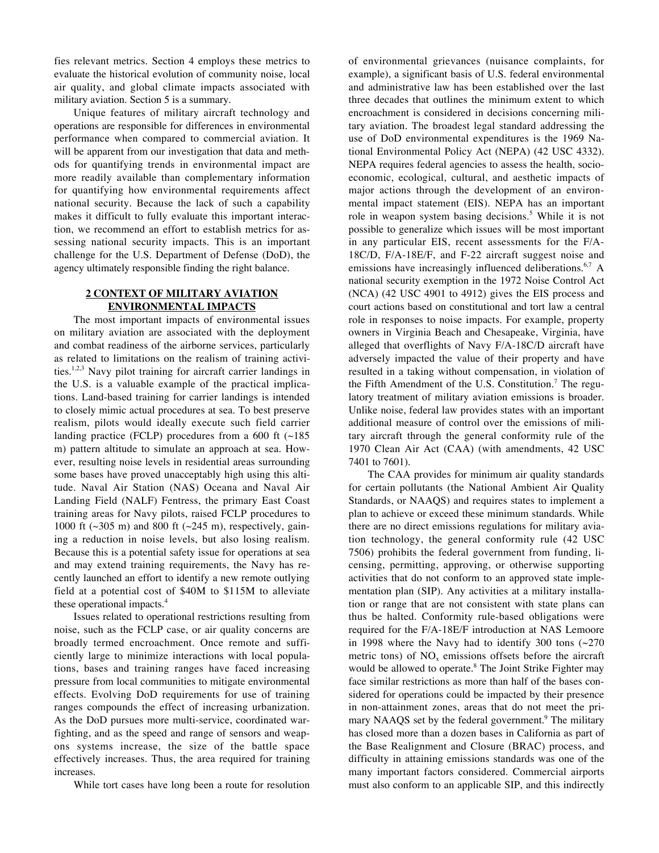fies relevant metrics. Section 4 employs these metrics to evaluate the historical evolution of community noise, local air quality, and global climate impacts associated with military aviation. Section 5 is a summary.

Unique features of military aircraft technology and operations are responsible for differences in environmental performance when compared to commercial aviation. It will be apparent from our investigation that data and methods for quantifying trends in environmental impact are more readily available than complementary information for quantifying how environmental requirements affect national security. Because the lack of such a capability makes it difficult to fully evaluate this important interaction, we recommend an effort to establish metrics for assessing national security impacts. This is an important challenge for the U.S. Department of Defense (DoD), the agency ultimately responsible finding the right balance.

# **2 CONTEXT OF MILITARY AVIATION ENVIRONMENTAL IMPACTS**

The most important impacts of environmental issues on military aviation are associated with the deployment and combat readiness of the airborne services, particularly as related to limitations on the realism of training activities.<sup>1,2,3</sup> Navy pilot training for aircraft carrier landings in the U.S. is a valuable example of the practical implications. Land-based training for carrier landings is intended to closely mimic actual procedures at sea. To best preserve realism, pilots would ideally execute such field carrier landing practice (FCLP) procedures from a 600 ft  $($ ~185 m) pattern altitude to simulate an approach at sea. However, resulting noise levels in residential areas surrounding some bases have proved unacceptably high using this altitude. Naval Air Station (NAS) Oceana and Naval Air Landing Field (NALF) Fentress, the primary East Coast training areas for Navy pilots, raised FCLP procedures to 1000 ft ( $\sim$ 305 m) and 800 ft ( $\sim$ 245 m), respectively, gaining a reduction in noise levels, but also losing realism. Because this is a potential safety issue for operations at sea and may extend training requirements, the Navy has recently launched an effort to identify a new remote outlying field at a potential cost of \$40M to \$115M to alleviate these operational impacts.4

Issues related to operational restrictions resulting from noise, such as the FCLP case, or air quality concerns are broadly termed encroachment. Once remote and sufficiently large to minimize interactions with local populations, bases and training ranges have faced increasing pressure from local communities to mitigate environmental effects. Evolving DoD requirements for use of training ranges compounds the effect of increasing urbanization. As the DoD pursues more multi-service, coordinated warfighting, and as the speed and range of sensors and weapons systems increase, the size of the battle space effectively increases. Thus, the area required for training increases.

While tort cases have long been a route for resolution

of environmental grievances (nuisance complaints, for example), a significant basis of U.S. federal environmental and administrative law has been established over the last three decades that outlines the minimum extent to which encroachment is considered in decisions concerning military aviation. The broadest legal standard addressing the use of DoD environmental expenditures is the 1969 National Environmental Policy Act (NEPA) (42 USC 4332). NEPA requires federal agencies to assess the health, socioeconomic, ecological, cultural, and aesthetic impacts of major actions through the development of an environmental impact statement (EIS). NEPA has an important role in weapon system basing decisions.<sup>5</sup> While it is not possible to generalize which issues will be most important in any particular EIS, recent assessments for the F/A-18C/D, F/A-18E/F, and F-22 aircraft suggest noise and emissions have increasingly influenced deliberations.<sup>6,7</sup> A national security exemption in the 1972 Noise Control Act (NCA) (42 USC 4901 to 4912) gives the EIS process and court actions based on constitutional and tort law a central role in responses to noise impacts. For example, property owners in Virginia Beach and Chesapeake, Virginia, have alleged that overflights of Navy F/A-18C/D aircraft have adversely impacted the value of their property and have resulted in a taking without compensation, in violation of the Fifth Amendment of the U.S. Constitution.<sup>7</sup> The regulatory treatment of military aviation emissions is broader. Unlike noise, federal law provides states with an important additional measure of control over the emissions of military aircraft through the general conformity rule of the 1970 Clean Air Act (CAA) (with amendments, 42 USC 7401 to 7601).

The CAA provides for minimum air quality standards for certain pollutants (the National Ambient Air Quality Standards, or NAAQS) and requires states to implement a plan to achieve or exceed these minimum standards. While there are no direct emissions regulations for military aviation technology, the general conformity rule (42 USC 7506) prohibits the federal government from funding, licensing, permitting, approving, or otherwise supporting activities that do not conform to an approved state implementation plan (SIP). Any activities at a military installation or range that are not consistent with state plans can thus be halted. Conformity rule-based obligations were required for the F/A-18E/F introduction at NAS Lemoore in 1998 where the Navy had to identify 300 tons  $\left(\sim 270\right)$ metric tons) of  $NO<sub>x</sub>$  emissions offsets before the aircraft would be allowed to operate.<sup>8</sup> The Joint Strike Fighter may face similar restrictions as more than half of the bases considered for operations could be impacted by their presence in non-attainment zones, areas that do not meet the primary NAAQS set by the federal government.<sup>9</sup> The military has closed more than a dozen bases in California as part of the Base Realignment and Closure (BRAC) process, and difficulty in attaining emissions standards was one of the many important factors considered. Commercial airports must also conform to an applicable SIP, and this indirectly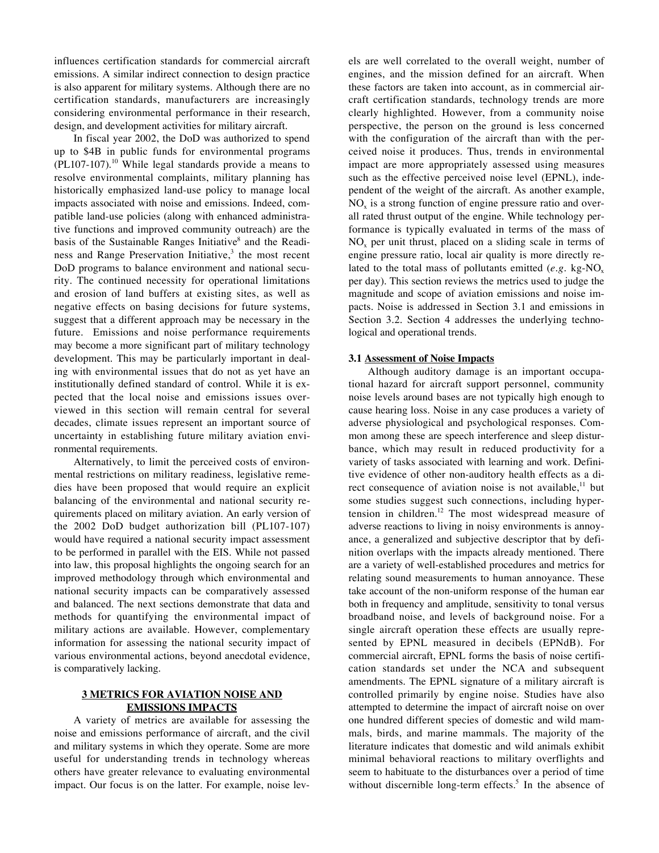influences certification standards for commercial aircraft emissions. A similar indirect connection to design practice is also apparent for military systems. Although there are no certification standards, manufacturers are increasingly considering environmental performance in their research, design, and development activities for military aircraft.

In fiscal year 2002, the DoD was authorized to spend up to \$4B in public funds for environmental programs  $(PL107-107)$ .<sup>10</sup> While legal standards provide a means to resolve environmental complaints, military planning has historically emphasized land-use policy to manage local impacts associated with noise and emissions. Indeed, compatible land-use policies (along with enhanced administrative functions and improved community outreach) are the basis of the Sustainable Ranges Initiative<sup>8</sup> and the Readiness and Range Preservation Initiative,<sup>3</sup> the most recent DoD programs to balance environment and national security. The continued necessity for operational limitations and erosion of land buffers at existing sites, as well as negative effects on basing decisions for future systems, suggest that a different approach may be necessary in the future. Emissions and noise performance requirements may become a more significant part of military technology development. This may be particularly important in dealing with environmental issues that do not as yet have an institutionally defined standard of control. While it is expected that the local noise and emissions issues overviewed in this section will remain central for several decades, climate issues represent an important source of uncertainty in establishing future military aviation environmental requirements.

Alternatively, to limit the perceived costs of environmental restrictions on military readiness, legislative remedies have been proposed that would require an explicit balancing of the environmental and national security requirements placed on military aviation. An early version of the 2002 DoD budget authorization bill (PL107-107) would have required a national security impact assessment to be performed in parallel with the EIS. While not passed into law, this proposal highlights the ongoing search for an improved methodology through which environmental and national security impacts can be comparatively assessed and balanced. The next sections demonstrate that data and methods for quantifying the environmental impact of military actions are available. However, complementary information for assessing the national security impact of various environmental actions, beyond anecdotal evidence, is comparatively lacking.

## **3 METRICS FOR AVIATION NOISE AND EMISSIONS IMPACTS**

A variety of metrics are available for assessing the noise and emissions performance of aircraft, and the civil and military systems in which they operate. Some are more useful for understanding trends in technology whereas others have greater relevance to evaluating environmental impact. Our focus is on the latter. For example, noise levels are well correlated to the overall weight, number of engines, and the mission defined for an aircraft. When these factors are taken into account, as in commercial aircraft certification standards, technology trends are more clearly highlighted. However, from a community noise perspective, the person on the ground is less concerned with the configuration of the aircraft than with the perceived noise it produces. Thus, trends in environmental impact are more appropriately assessed using measures such as the effective perceived noise level (EPNL), independent of the weight of the aircraft. As another example,  $NO<sub>x</sub>$  is a strong function of engine pressure ratio and overall rated thrust output of the engine. While technology performance is typically evaluated in terms of the mass of  $NO<sub>x</sub>$  per unit thrust, placed on a sliding scale in terms of engine pressure ratio, local air quality is more directly related to the total mass of pollutants emitted  $(e.g., kg-NO<sub>x</sub>)$ per day). This section reviews the metrics used to judge the magnitude and scope of aviation emissions and noise impacts. Noise is addressed in Section 3.1 and emissions in Section 3.2. Section 4 addresses the underlying technological and operational trends.

### **3.1 Assessment of Noise Impacts**

Although auditory damage is an important occupational hazard for aircraft support personnel, community noise levels around bases are not typically high enough to cause hearing loss. Noise in any case produces a variety of adverse physiological and psychological responses. Common among these are speech interference and sleep disturbance, which may result in reduced productivity for a variety of tasks associated with learning and work. Definitive evidence of other non-auditory health effects as a direct consequence of aviation noise is not available, $^{11}$  but some studies suggest such connections, including hypertension in children.<sup>12</sup> The most widespread measure of adverse reactions to living in noisy environments is annoyance, a generalized and subjective descriptor that by definition overlaps with the impacts already mentioned. There are a variety of well-established procedures and metrics for relating sound measurements to human annoyance. These take account of the non-uniform response of the human ear both in frequency and amplitude, sensitivity to tonal versus broadband noise, and levels of background noise. For a single aircraft operation these effects are usually represented by EPNL measured in decibels (EPNdB). For commercial aircraft, EPNL forms the basis of noise certification standards set under the NCA and subsequent amendments. The EPNL signature of a military aircraft is controlled primarily by engine noise. Studies have also attempted to determine the impact of aircraft noise on over one hundred different species of domestic and wild mammals, birds, and marine mammals. The majority of the literature indicates that domestic and wild animals exhibit minimal behavioral reactions to military overflights and seem to habituate to the disturbances over a period of time without discernible long-term effects.<sup>5</sup> In the absence of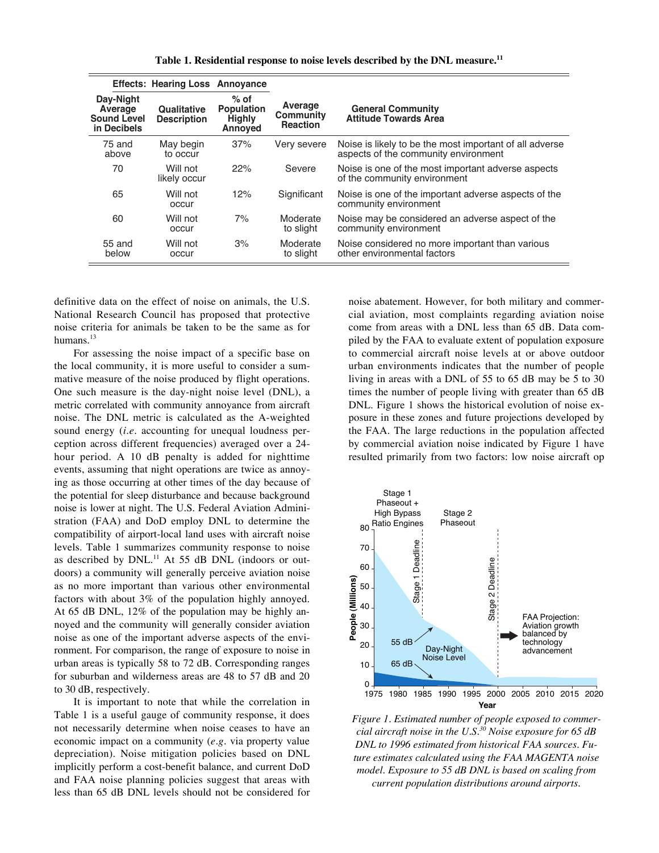**Table 1. Residential response to noise levels described by the DNL measure.11**

|                                                           | <b>Effects: Hearing Loss Annovance</b>   |                                                         |                                         |                                                                                                 |
|-----------------------------------------------------------|------------------------------------------|---------------------------------------------------------|-----------------------------------------|-------------------------------------------------------------------------------------------------|
| Day-Night<br>Average<br><b>Sound Level</b><br>in Decibels | <b>Qualitative</b><br><b>Description</b> | $%$ of<br><b>Population</b><br><b>Highly</b><br>Annoved | Average<br>Community<br><b>Reaction</b> | <b>General Community</b><br><b>Attitude Towards Area</b>                                        |
| 75 and<br>above                                           | May begin<br>to occur                    | 37%                                                     | Very severe                             | Noise is likely to be the most important of all adverse<br>aspects of the community environment |
| 70                                                        | Will not<br>likely occur                 | 22%                                                     | Severe                                  | Noise is one of the most important adverse aspects<br>of the community environment              |
| 65                                                        | Will not<br>occur                        | 12%                                                     | Significant                             | Noise is one of the important adverse aspects of the<br>community environment                   |
| 60                                                        | Will not<br>occur                        | 7%                                                      | Moderate<br>to slight                   | Noise may be considered an adverse aspect of the<br>community environment                       |
| 55 and<br>below                                           | Will not<br>occur                        | 3%                                                      | Moderate<br>to slight                   | Noise considered no more important than various<br>other environmental factors                  |

definitive data on the effect of noise on animals, the U.S. National Research Council has proposed that protective noise criteria for animals be taken to be the same as for humans.<sup>13</sup>

For assessing the noise impact of a specific base on the local community, it is more useful to consider a summative measure of the noise produced by flight operations. One such measure is the day-night noise level (DNL), a metric correlated with community annoyance from aircraft noise. The DNL metric is calculated as the A-weighted sound energy (*i.e.* accounting for unequal loudness perception across different frequencies) averaged over a 24 hour period. A 10 dB penalty is added for nighttime events, assuming that night operations are twice as annoying as those occurring at other times of the day because of the potential for sleep disturbance and because background noise is lower at night. The U.S. Federal Aviation Administration (FAA) and DoD employ DNL to determine the compatibility of airport-local land uses with aircraft noise levels. Table 1 summarizes community response to noise as described by  $DNL$ .<sup>11</sup> At 55 dB DNL (indoors or outdoors) a community will generally perceive aviation noise as no more important than various other environmental factors with about 3% of the population highly annoyed. At 65 dB DNL, 12% of the population may be highly annoyed and the community will generally consider aviation noise as one of the important adverse aspects of the environment. For comparison, the range of exposure to noise in urban areas is typically 58 to 72 dB. Corresponding ranges for suburban and wilderness areas are 48 to 57 dB and 20 to 30 dB, respectively.

It is important to note that while the correlation in Table 1 is a useful gauge of community response, it does not necessarily determine when noise ceases to have an economic impact on a community (*e.g.* via property value depreciation). Noise mitigation policies based on DNL implicitly perform a cost-benefit balance, and current DoD and FAA noise planning policies suggest that areas with less than 65 dB DNL levels should not be considered for

noise abatement. However, for both military and commercial aviation, most complaints regarding aviation noise come from areas with a DNL less than 65 dB. Data compiled by the FAA to evaluate extent of population exposure to commercial aircraft noise levels at or above outdoor urban environments indicates that the number of people living in areas with a DNL of 55 to 65 dB may be 5 to 30 times the number of people living with greater than 65 dB DNL. Figure 1 shows the historical evolution of noise exposure in these zones and future projections developed by the FAA. The large reductions in the population affected by commercial aviation noise indicated by Figure 1 have resulted primarily from two factors: low noise aircraft op



*Figure 1. Estimated number of people exposed to commercial aircraft noise in the U.S.30 Noise exposure for 65 dB DNL to 1996 estimated from historical FAA sources. Future estimates calculated using the FAA MAGENTA noise model. Exposure to 55 dB DNL is based on scaling from current population distributions around airports.*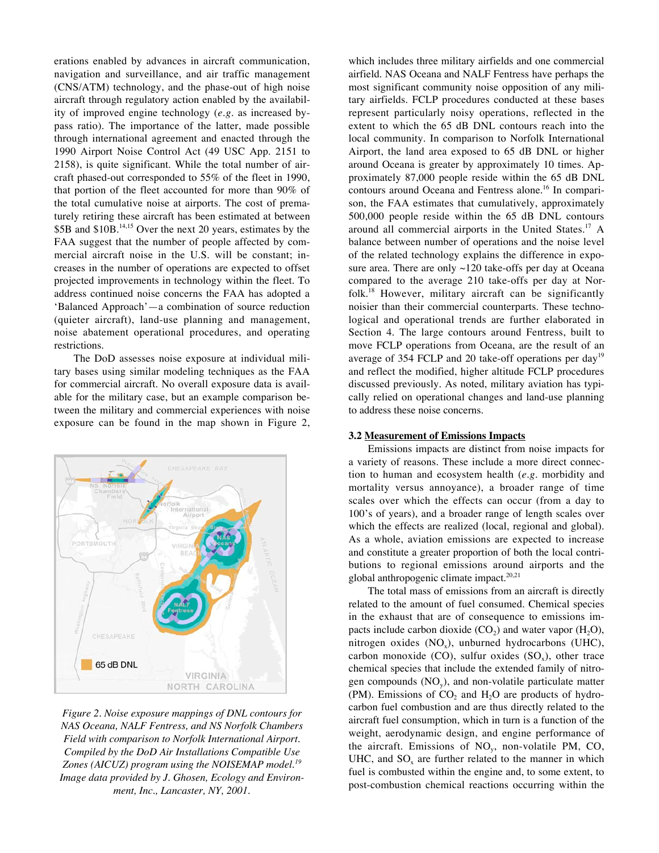erations enabled by advances in aircraft communication, navigation and surveillance, and air traffic management (CNS/ATM) technology, and the phase-out of high noise aircraft through regulatory action enabled by the availability of improved engine technology (*e.g.* as increased bypass ratio). The importance of the latter, made possible through international agreement and enacted through the 1990 Airport Noise Control Act (49 USC App. 2151 to 2158), is quite significant. While the total number of aircraft phased-out corresponded to 55% of the fleet in 1990, that portion of the fleet accounted for more than 90% of the total cumulative noise at airports. The cost of prematurely retiring these aircraft has been estimated at between \$5B and \$10B.<sup>14,15</sup> Over the next 20 years, estimates by the FAA suggest that the number of people affected by commercial aircraft noise in the U.S. will be constant; increases in the number of operations are expected to offset projected improvements in technology within the fleet. To address continued noise concerns the FAA has adopted a 'Balanced Approach'—a combination of source reduction (quieter aircraft), land-use planning and management, noise abatement operational procedures, and operating restrictions.

The DoD assesses noise exposure at individual military bases using similar modeling techniques as the FAA for commercial aircraft. No overall exposure data is available for the military case, but an example comparison between the military and commercial experiences with noise exposure can be found in the map shown in Figure 2,



*Figure 2. Noise exposure mappings of DNL contours for NAS Oceana, NALF Fentress, and NS Norfolk Chambers Field with comparison to Norfolk International Airport. Compiled by the DoD Air Installations Compatible Use Zones (AICUZ) program using the NOISEMAP model.<sup>19</sup> Image data provided by J. Ghosen, Ecology and Environment, Inc., Lancaster, NY, 2001.*

which includes three military airfields and one commercial airfield. NAS Oceana and NALF Fentress have perhaps the most significant community noise opposition of any military airfields. FCLP procedures conducted at these bases represent particularly noisy operations, reflected in the extent to which the 65 dB DNL contours reach into the local community. In comparison to Norfolk International Airport, the land area exposed to 65 dB DNL or higher around Oceana is greater by approximately 10 times. Approximately 87,000 people reside within the 65 dB DNL contours around Oceana and Fentress alone.<sup>16</sup> In comparison, the FAA estimates that cumulatively, approximately 500,000 people reside within the 65 dB DNL contours around all commercial airports in the United States.<sup>17</sup> A balance between number of operations and the noise level of the related technology explains the difference in exposure area. There are only  $\sim$ 120 take-offs per day at Oceana compared to the average 210 take-offs per day at Norfolk.<sup>18</sup> However, military aircraft can be significantly noisier than their commercial counterparts. These technological and operational trends are further elaborated in Section 4. The large contours around Fentress, built to move FCLP operations from Oceana, are the result of an average of 354 FCLP and 20 take-off operations per day<sup>19</sup> and reflect the modified, higher altitude FCLP procedures discussed previously. As noted, military aviation has typically relied on operational changes and land-use planning to address these noise concerns.

### **3.2 Measurement of Emissions Impacts**

Emissions impacts are distinct from noise impacts for a variety of reasons. These include a more direct connection to human and ecosystem health (*e.g.* morbidity and mortality versus annoyance), a broader range of time scales over which the effects can occur (from a day to 100's of years), and a broader range of length scales over which the effects are realized (local, regional and global). As a whole, aviation emissions are expected to increase and constitute a greater proportion of both the local contributions to regional emissions around airports and the global anthropogenic climate impact. $20,21$ 

The total mass of emissions from an aircraft is directly related to the amount of fuel consumed. Chemical species in the exhaust that are of consequence to emissions impacts include carbon dioxide  $(CO_2)$  and water vapor  $(H_2O)$ , nitrogen oxides  $(NO_x)$ , unburned hydrocarbons  $(UHC)$ , carbon monoxide (CO), sulfur oxides  $(SO_x)$ , other trace chemical species that include the extended family of nitrogen compounds  $(NO<sub>v</sub>)$ , and non-volatile particulate matter (PM). Emissions of  $CO<sub>2</sub>$  and  $H<sub>2</sub>O$  are products of hydrocarbon fuel combustion and are thus directly related to the aircraft fuel consumption, which in turn is a function of the weight, aerodynamic design, and engine performance of the aircraft. Emissions of NOy, non-volatile PM, CO, UHC, and  $SO<sub>x</sub>$  are further related to the manner in which fuel is combusted within the engine and, to some extent, to post-combustion chemical reactions occurring within the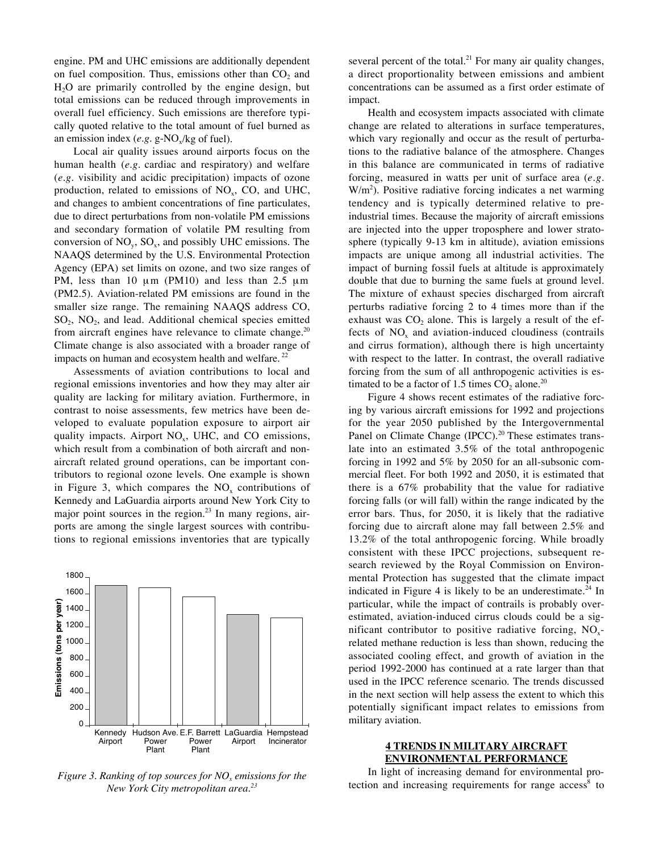engine. PM and UHC emissions are additionally dependent on fuel composition. Thus, emissions other than  $CO<sub>2</sub>$  and H2O are primarily controlled by the engine design, but total emissions can be reduced through improvements in overall fuel efficiency. Such emissions are therefore typically quoted relative to the total amount of fuel burned as an emission index  $(e.g. g-NO_x/kg \text{ of fuel}).$ 

Local air quality issues around airports focus on the human health (*e.g.* cardiac and respiratory) and welfare (*e.g.* visibility and acidic precipitation) impacts of ozone production, related to emissions of  $NO<sub>x</sub>$ , CO, and UHC, and changes to ambient concentrations of fine particulates, due to direct perturbations from non-volatile PM emissions and secondary formation of volatile PM resulting from conversion of  $NO<sub>y</sub>$ ,  $SO<sub>x</sub>$ , and possibly UHC emissions. The NAAQS determined by the U.S. Environmental Protection Agency (EPA) set limits on ozone, and two size ranges of PM, less than 10  $\mu$ m (PM10) and less than 2.5  $\mu$ m (PM2.5). Aviation-related PM emissions are found in the smaller size range. The remaining NAAQS address CO, SO<sub>2</sub>, NO<sub>2</sub>, and lead. Additional chemical species emitted from aircraft engines have relevance to climate change. $20$ Climate change is also associated with a broader range of impacts on human and ecosystem health and welfare. $^{22}$ 

Assessments of aviation contributions to local and regional emissions inventories and how they may alter air quality are lacking for military aviation. Furthermore, in contrast to noise assessments, few metrics have been developed to evaluate population exposure to airport air quality impacts. Airport  $NO<sub>x</sub>$ , UHC, and CO emissions, which result from a combination of both aircraft and nonaircraft related ground operations, can be important contributors to regional ozone levels. One example is shown in Figure 3, which compares the  $NO_x$  contributions of Kennedy and LaGuardia airports around New York City to major point sources in the region.<sup>23</sup> In many regions, airports are among the single largest sources with contributions to regional emissions inventories that are typically



*Figure 3. Ranking of top sources for NO<sub>x</sub> emissions for the New York City metropolitan area.<sup>23</sup>*

several percent of the total.<sup>21</sup> For many air quality changes, a direct proportionality between emissions and ambient concentrations can be assumed as a first order estimate of impact.

Health and ecosystem impacts associated with climate change are related to alterations in surface temperatures, which vary regionally and occur as the result of perturbations to the radiative balance of the atmosphere. Changes in this balance are communicated in terms of radiative forcing, measured in watts per unit of surface area (*e.g.*  $W/m<sup>2</sup>$ ). Positive radiative forcing indicates a net warming tendency and is typically determined relative to preindustrial times. Because the majority of aircraft emissions are injected into the upper troposphere and lower stratosphere (typically 9-13 km in altitude), aviation emissions impacts are unique among all industrial activities. The impact of burning fossil fuels at altitude is approximately double that due to burning the same fuels at ground level. The mixture of exhaust species discharged from aircraft perturbs radiative forcing 2 to 4 times more than if the exhaust was  $CO<sub>2</sub>$  alone. This is largely a result of the effects of  $NO<sub>x</sub>$  and aviation-induced cloudiness (contrails and cirrus formation), although there is high uncertainty with respect to the latter. In contrast, the overall radiative forcing from the sum of all anthropogenic activities is estimated to be a factor of 1.5 times  $CO_2$  alone.<sup>20</sup>

Figure 4 shows recent estimates of the radiative forcing by various aircraft emissions for 1992 and projections for the year 2050 published by the Intergovernmental Panel on Climate Change (IPCC).<sup>20</sup> These estimates translate into an estimated 3.5% of the total anthropogenic forcing in 1992 and 5% by 2050 for an all-subsonic commercial fleet. For both 1992 and 2050, it is estimated that there is a 67% probability that the value for radiative forcing falls (or will fall) within the range indicated by the error bars. Thus, for 2050, it is likely that the radiative forcing due to aircraft alone may fall between 2.5% and 13.2% of the total anthropogenic forcing. While broadly consistent with these IPCC projections, subsequent research reviewed by the Royal Commission on Environmental Protection has suggested that the climate impact indicated in Figure 4 is likely to be an underestimate.<sup>24</sup> In particular, while the impact of contrails is probably overestimated, aviation-induced cirrus clouds could be a significant contributor to positive radiative forcing,  $NO<sub>x</sub>$ related methane reduction is less than shown, reducing the associated cooling effect, and growth of aviation in the period 1992-2000 has continued at a rate larger than that used in the IPCC reference scenario. The trends discussed in the next section will help assess the extent to which this potentially significant impact relates to emissions from military aviation.

### **4 TRENDS IN MILITARY AIRCRAFT ENVIRONMENTAL PERFORMANCE**

In light of increasing demand for environmental protection and increasing requirements for range access<sup>8</sup> to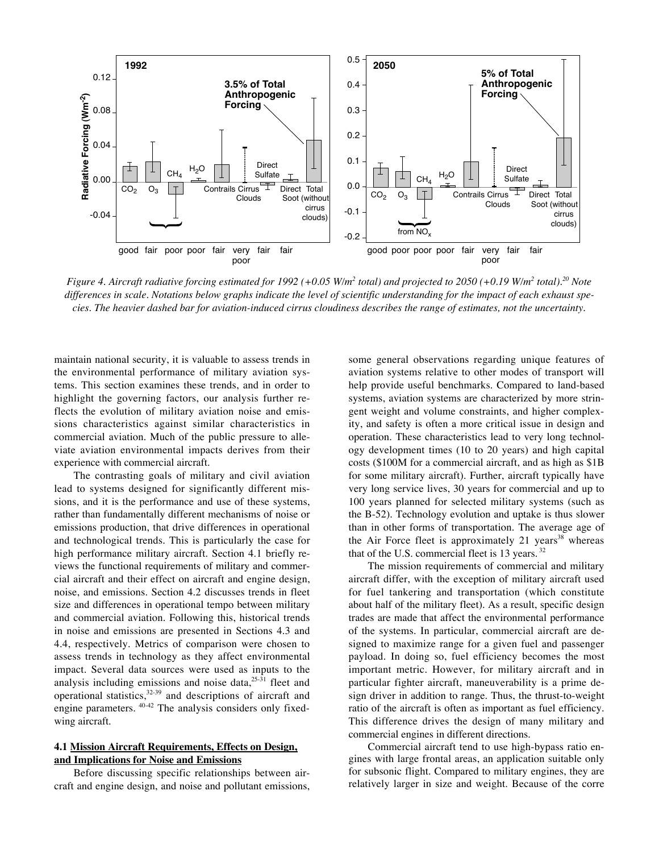

*Figure 4. Aircraft radiative forcing estimated for 1992 (+0.05 W/m2 total) and projected to 2050 (+0.19 W/m2 total).20 Note differences in scale. Notations below graphs indicate the level of scientific understanding for the impact of each exhaust species. The heavier dashed bar for aviation-induced cirrus cloudiness describes the range of estimates, not the uncertainty.*

maintain national security, it is valuable to assess trends in the environmental performance of military aviation systems. This section examines these trends, and in order to highlight the governing factors, our analysis further reflects the evolution of military aviation noise and emissions characteristics against similar characteristics in commercial aviation. Much of the public pressure to alleviate aviation environmental impacts derives from their experience with commercial aircraft.

The contrasting goals of military and civil aviation lead to systems designed for significantly different missions, and it is the performance and use of these systems, rather than fundamentally different mechanisms of noise or emissions production, that drive differences in operational and technological trends. This is particularly the case for high performance military aircraft. Section 4.1 briefly reviews the functional requirements of military and commercial aircraft and their effect on aircraft and engine design, noise, and emissions. Section 4.2 discusses trends in fleet size and differences in operational tempo between military and commercial aviation. Following this, historical trends in noise and emissions are presented in Sections 4.3 and 4.4, respectively. Metrics of comparison were chosen to assess trends in technology as they affect environmental impact. Several data sources were used as inputs to the analysis including emissions and noise data,25-31 fleet and operational statistics, $32-39$  and descriptions of aircraft and engine parameters. 40-42 The analysis considers only fixedwing aircraft.

### **4.1 Mission Aircraft Requirements, Effects on Design, and Implications for Noise and Emissions**

Before discussing specific relationships between aircraft and engine design, and noise and pollutant emissions,

some general observations regarding unique features of aviation systems relative to other modes of transport will help provide useful benchmarks. Compared to land-based systems, aviation systems are characterized by more stringent weight and volume constraints, and higher complexity, and safety is often a more critical issue in design and operation. These characteristics lead to very long technology development times (10 to 20 years) and high capital costs (\$100M for a commercial aircraft, and as high as \$1B for some military aircraft). Further, aircraft typically have very long service lives, 30 years for commercial and up to 100 years planned for selected military systems (such as the B-52). Technology evolution and uptake is thus slower than in other forms of transportation. The average age of the Air Force fleet is approximately 21 years<sup>38</sup> whereas that of the U.S. commercial fleet is  $13$  years.  $32$ 

The mission requirements of commercial and military aircraft differ, with the exception of military aircraft used for fuel tankering and transportation (which constitute about half of the military fleet). As a result, specific design trades are made that affect the environmental performance of the systems. In particular, commercial aircraft are designed to maximize range for a given fuel and passenger payload. In doing so, fuel efficiency becomes the most important metric. However, for military aircraft and in particular fighter aircraft, maneuverability is a prime design driver in addition to range. Thus, the thrust-to-weight ratio of the aircraft is often as important as fuel efficiency. This difference drives the design of many military and commercial engines in different directions.

Commercial aircraft tend to use high-bypass ratio engines with large frontal areas, an application suitable only for subsonic flight. Compared to military engines, they are relatively larger in size and weight. Because of the corre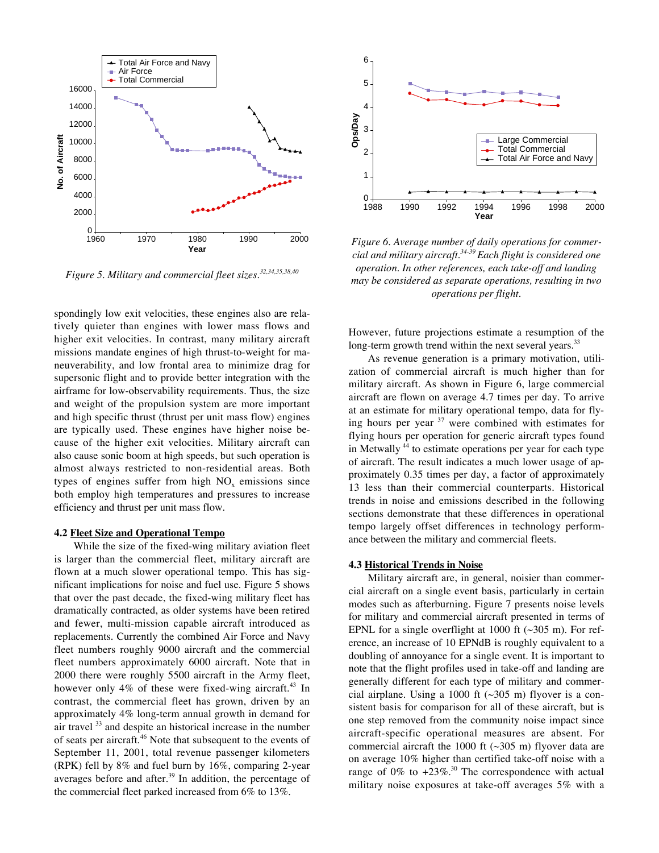

*Figure 5. Military and commercial fleet sizes.32,34,35,38,40*

spondingly low exit velocities, these engines also are relatively quieter than engines with lower mass flows and higher exit velocities. In contrast, many military aircraft missions mandate engines of high thrust-to-weight for maneuverability, and low frontal area to minimize drag for supersonic flight and to provide better integration with the airframe for low-observability requirements. Thus, the size and weight of the propulsion system are more important and high specific thrust (thrust per unit mass flow) engines are typically used. These engines have higher noise because of the higher exit velocities. Military aircraft can also cause sonic boom at high speeds, but such operation is almost always restricted to non-residential areas. Both types of engines suffer from high  $NO<sub>x</sub>$  emissions since both employ high temperatures and pressures to increase efficiency and thrust per unit mass flow.

### **4.2 Fleet Size and Operational Tempo**

While the size of the fixed-wing military aviation fleet is larger than the commercial fleet, military aircraft are flown at a much slower operational tempo. This has significant implications for noise and fuel use. Figure 5 shows that over the past decade, the fixed-wing military fleet has dramatically contracted, as older systems have been retired and fewer, multi-mission capable aircraft introduced as replacements. Currently the combined Air Force and Navy fleet numbers roughly 9000 aircraft and the commercial fleet numbers approximately 6000 aircraft. Note that in 2000 there were roughly 5500 aircraft in the Army fleet, however only 4% of these were fixed-wing aircraft.<sup>43</sup> In contrast, the commercial fleet has grown, driven by an approximately 4% long-term annual growth in demand for air travel 33 and despite an historical increase in the number of seats per aircraft.<sup>46</sup> Note that subsequent to the events of September 11, 2001, total revenue passenger kilometers (RPK) fell by 8% and fuel burn by 16%, comparing 2-year averages before and after. $39$  In addition, the percentage of the commercial fleet parked increased from 6% to 13%.



*Figure 6. Average number of daily operations for commercial and military aircraft.34-39 Each flight is considered one operation. In other references, each take-off and landing may be considered as separate operations, resulting in two operations per flight.*

However, future projections estimate a resumption of the long-term growth trend within the next several years. $33$ 

As revenue generation is a primary motivation, utilization of commercial aircraft is much higher than for military aircraft. As shown in Figure 6, large commercial aircraft are flown on average 4.7 times per day. To arrive at an estimate for military operational tempo, data for flying hours per year  $37$  were combined with estimates for flying hours per operation for generic aircraft types found in Metwally 44 to estimate operations per year for each type of aircraft. The result indicates a much lower usage of approximately 0.35 times per day, a factor of approximately 13 less than their commercial counterparts. Historical trends in noise and emissions described in the following sections demonstrate that these differences in operational tempo largely offset differences in technology performance between the military and commercial fleets.

#### **4.3 Historical Trends in Noise**

Military aircraft are, in general, noisier than commercial aircraft on a single event basis, particularly in certain modes such as afterburning. Figure 7 presents noise levels for military and commercial aircraft presented in terms of EPNL for a single overflight at 1000 ft  $(\sim 305 \text{ m})$ . For reference, an increase of 10 EPNdB is roughly equivalent to a doubling of annoyance for a single event. It is important to note that the flight profiles used in take-off and landing are generally different for each type of military and commercial airplane. Using a 1000 ft  $(\sim 305 \text{ m})$  flyover is a consistent basis for comparison for all of these aircraft, but is one step removed from the community noise impact since aircraft-specific operational measures are absent. For commercial aircraft the 1000 ft (~305 m) flyover data are on average 10% higher than certified take-off noise with a range of 0% to  $+23\%$ .<sup>30</sup> The correspondence with actual military noise exposures at take-off averages 5% with a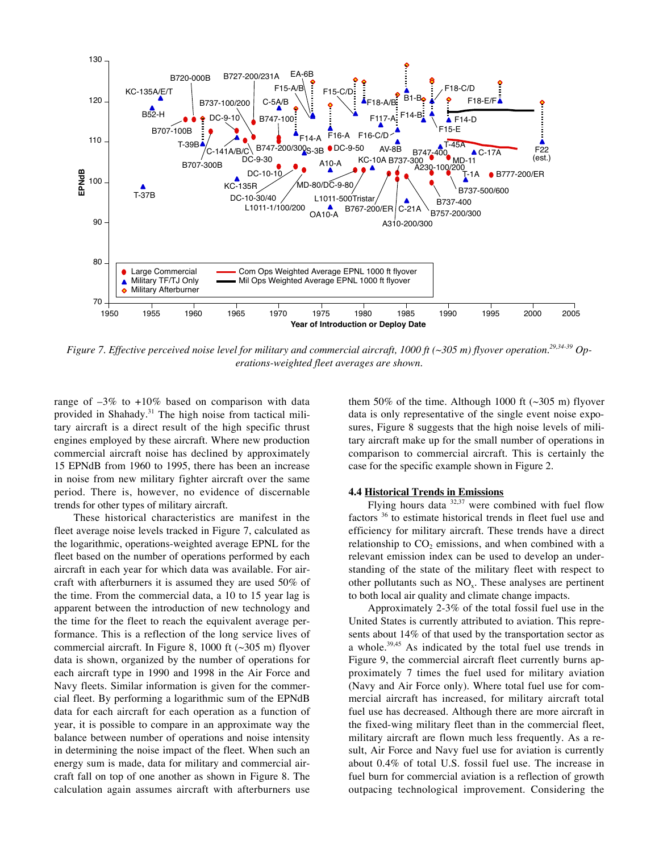

*Figure 7. Effective perceived noise level for military and commercial aircraft, 1000 ft (~305 m) flyover operation.29,34-39 Operations-weighted fleet averages are shown.*

range of  $-3\%$  to  $+10\%$  based on comparison with data provided in Shahady.<sup>31</sup> The high noise from tactical military aircraft is a direct result of the high specific thrust engines employed by these aircraft. Where new production commercial aircraft noise has declined by approximately 15 EPNdB from 1960 to 1995, there has been an increase in noise from new military fighter aircraft over the same period. There is, however, no evidence of discernable trends for other types of military aircraft.

These historical characteristics are manifest in the fleet average noise levels tracked in Figure 7, calculated as the logarithmic, operations-weighted average EPNL for the fleet based on the number of operations performed by each aircraft in each year for which data was available. For aircraft with afterburners it is assumed they are used 50% of the time. From the commercial data, a 10 to 15 year lag is apparent between the introduction of new technology and the time for the fleet to reach the equivalent average performance. This is a reflection of the long service lives of commercial aircraft. In Figure 8, 1000 ft  $(\sim 305 \text{ m})$  flyover data is shown, organized by the number of operations for each aircraft type in 1990 and 1998 in the Air Force and Navy fleets. Similar information is given for the commercial fleet. By performing a logarithmic sum of the EPNdB data for each aircraft for each operation as a function of year, it is possible to compare in an approximate way the balance between number of operations and noise intensity in determining the noise impact of the fleet. When such an energy sum is made, data for military and commercial aircraft fall on top of one another as shown in Figure 8. The calculation again assumes aircraft with afterburners use

them 50% of the time. Although 1000 ft  $(\sim 305 \text{ m})$  flyover data is only representative of the single event noise exposures, Figure 8 suggests that the high noise levels of military aircraft make up for the small number of operations in comparison to commercial aircraft. This is certainly the case for the specific example shown in Figure 2.

### **4.4 Historical Trends in Emissions**

Flying hours data  $32,37$  were combined with fuel flow factors<sup>36</sup> to estimate historical trends in fleet fuel use and efficiency for military aircraft. These trends have a direct relationship to  $CO<sub>2</sub>$  emissions, and when combined with a relevant emission index can be used to develop an understanding of the state of the military fleet with respect to other pollutants such as  $NO<sub>x</sub>$ . These analyses are pertinent to both local air quality and climate change impacts.

Approximately 2-3% of the total fossil fuel use in the United States is currently attributed to aviation. This represents about 14% of that used by the transportation sector as a whole.<sup>39,45</sup> As indicated by the total fuel use trends in Figure 9, the commercial aircraft fleet currently burns approximately 7 times the fuel used for military aviation (Navy and Air Force only). Where total fuel use for commercial aircraft has increased, for military aircraft total fuel use has decreased. Although there are more aircraft in the fixed-wing military fleet than in the commercial fleet, military aircraft are flown much less frequently. As a result, Air Force and Navy fuel use for aviation is currently about 0.4% of total U.S. fossil fuel use. The increase in fuel burn for commercial aviation is a reflection of growth outpacing technological improvement. Considering the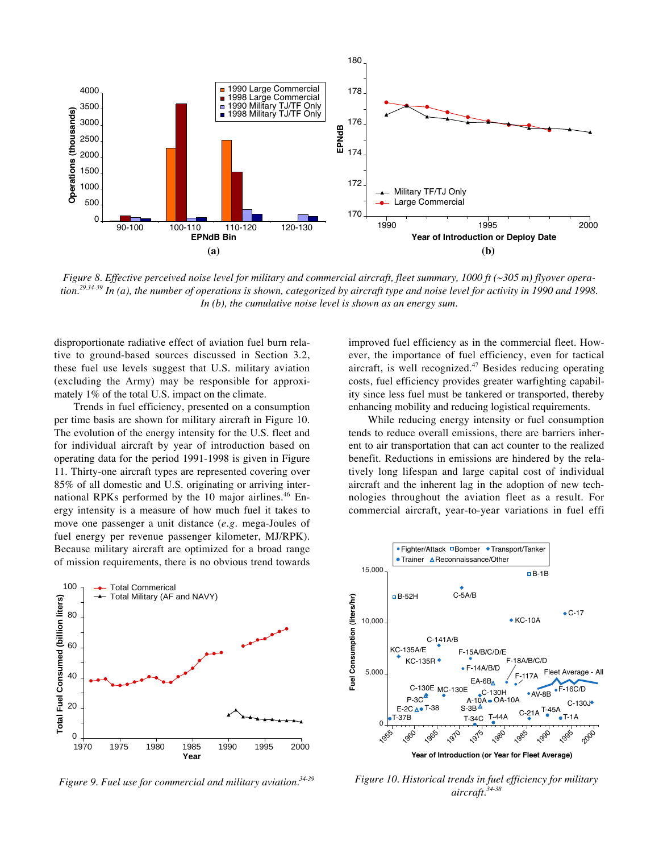

*Figure 8. Effective perceived noise level for military and commercial aircraft, fleet summary, 1000 ft (~305 m) flyover operation.29.34-39 In (a), the number of operations is shown, categorized by aircraft type and noise level for activity in 1990 and 1998. In (b), the cumulative noise level is shown as an energy sum.*

disproportionate radiative effect of aviation fuel burn relative to ground-based sources discussed in Section 3.2, these fuel use levels suggest that U.S. military aviation (excluding the Army) may be responsible for approximately 1% of the total U.S. impact on the climate.

Trends in fuel efficiency, presented on a consumption per time basis are shown for military aircraft in Figure 10. The evolution of the energy intensity for the U.S. fleet and for individual aircraft by year of introduction based on operating data for the period 1991-1998 is given in Figure 11. Thirty-one aircraft types are represented covering over 85% of all domestic and U.S. originating or arriving international RPKs performed by the 10 major airlines.<sup>46</sup> Energy intensity is a measure of how much fuel it takes to move one passenger a unit distance (*e.g.* mega-Joules of fuel energy per revenue passenger kilometer, MJ/RPK). Because military aircraft are optimized for a broad range of mission requirements, there is no obvious trend towards



*Figure 9. Fuel use for commercial and military aviation.34-39*

improved fuel efficiency as in the commercial fleet. However, the importance of fuel efficiency, even for tactical aircraft, is well recognized. $47$  Besides reducing operating costs, fuel efficiency provides greater warfighting capability since less fuel must be tankered or transported, thereby enhancing mobility and reducing logistical requirements.

While reducing energy intensity or fuel consumption tends to reduce overall emissions, there are barriers inherent to air transportation that can act counter to the realized benefit. Reductions in emissions are hindered by the relatively long lifespan and large capital cost of individual aircraft and the inherent lag in the adoption of new technologies throughout the aviation fleet as a result. For commercial aircraft, year-to-year variations in fuel effi



*Figure 10. Historical trends in fuel efficiency for military aircraft.34-38*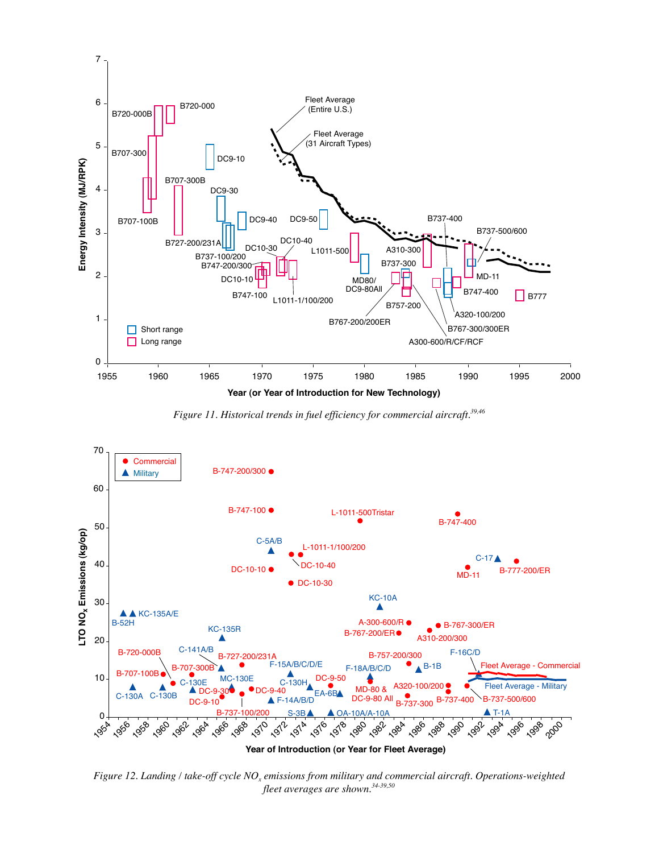

*Figure 11. Historical trends in fuel efficiency for commercial aircraft.39,46*



*Figure 12. Landing / take-off cycle NO<sub>x</sub> emissions from military and commercial aircraft. Operations-weighted fleet averages are shown.34-39,50*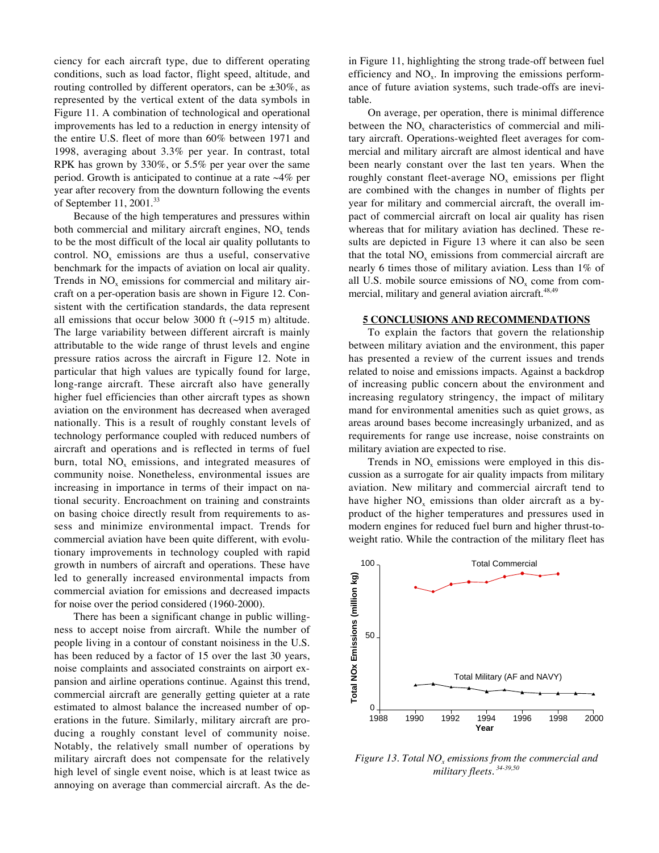ciency for each aircraft type, due to different operating conditions, such as load factor, flight speed, altitude, and routing controlled by different operators, can be  $\pm 30\%$ , as represented by the vertical extent of the data symbols in Figure 11. A combination of technological and operational improvements has led to a reduction in energy intensity of the entire U.S. fleet of more than 60% between 1971 and 1998, averaging about 3.3% per year. In contrast, total RPK has grown by 330%, or 5.5% per year over the same period. Growth is anticipated to continue at a rate  $~4\%$  per year after recovery from the downturn following the events of September 11, 2001.<sup>33</sup>

Because of the high temperatures and pressures within both commercial and military aircraft engines,  $NO<sub>x</sub>$  tends to be the most difficult of the local air quality pollutants to control.  $NO<sub>x</sub>$  emissions are thus a useful, conservative benchmark for the impacts of aviation on local air quality. Trends in  $NO<sub>x</sub>$  emissions for commercial and military aircraft on a per-operation basis are shown in Figure 12. Consistent with the certification standards, the data represent all emissions that occur below 3000 ft  $(\sim 915 \text{ m})$  altitude. The large variability between different aircraft is mainly attributable to the wide range of thrust levels and engine pressure ratios across the aircraft in Figure 12. Note in particular that high values are typically found for large, long-range aircraft. These aircraft also have generally higher fuel efficiencies than other aircraft types as shown aviation on the environment has decreased when averaged nationally. This is a result of roughly constant levels of technology performance coupled with reduced numbers of aircraft and operations and is reflected in terms of fuel burn, total  $NO<sub>x</sub>$  emissions, and integrated measures of community noise. Nonetheless, environmental issues are increasing in importance in terms of their impact on national security. Encroachment on training and constraints on basing choice directly result from requirements to assess and minimize environmental impact. Trends for commercial aviation have been quite different, with evolutionary improvements in technology coupled with rapid growth in numbers of aircraft and operations. These have led to generally increased environmental impacts from commercial aviation for emissions and decreased impacts for noise over the period considered (1960-2000).

There has been a significant change in public willingness to accept noise from aircraft. While the number of people living in a contour of constant noisiness in the U.S. has been reduced by a factor of 15 over the last 30 years, noise complaints and associated constraints on airport expansion and airline operations continue. Against this trend, commercial aircraft are generally getting quieter at a rate estimated to almost balance the increased number of operations in the future. Similarly, military aircraft are producing a roughly constant level of community noise. Notably, the relatively small number of operations by military aircraft does not compensate for the relatively high level of single event noise, which is at least twice as annoying on average than commercial aircraft. As the de-

in Figure 11, highlighting the strong trade-off between fuel efficiency and  $NO<sub>x</sub>$ . In improving the emissions performance of future aviation systems, such trade-offs are inevitable.

On average, per operation, there is minimal difference between the  $NO<sub>x</sub>$  characteristics of commercial and military aircraft. Operations-weighted fleet averages for commercial and military aircraft are almost identical and have been nearly constant over the last ten years. When the roughly constant fleet-average  $NO<sub>x</sub>$  emissions per flight are combined with the changes in number of flights per year for military and commercial aircraft, the overall impact of commercial aircraft on local air quality has risen whereas that for military aviation has declined. These results are depicted in Figure 13 where it can also be seen that the total  $NO<sub>x</sub>$  emissions from commercial aircraft are nearly 6 times those of military aviation. Less than 1% of all U.S. mobile source emissions of  $NO<sub>x</sub>$  come from commercial, military and general aviation aircraft.<sup>48,49</sup>

#### **5 CONCLUSIONS AND RECOMMENDATIONS**

To explain the factors that govern the relationship between military aviation and the environment, this paper has presented a review of the current issues and trends related to noise and emissions impacts. Against a backdrop of increasing public concern about the environment and increasing regulatory stringency, the impact of military mand for environmental amenities such as quiet grows, as areas around bases become increasingly urbanized, and as requirements for range use increase, noise constraints on military aviation are expected to rise.

Trends in  $NO<sub>x</sub>$  emissions were employed in this discussion as a surrogate for air quality impacts from military aviation. New military and commercial aircraft tend to have higher  $NO<sub>x</sub>$  emissions than older aircraft as a byproduct of the higher temperatures and pressures used in modern engines for reduced fuel burn and higher thrust-toweight ratio. While the contraction of the military fleet has



*Figure 13. Total NO<sub>x</sub> emissions from the commercial and military fleets. 34-39,50*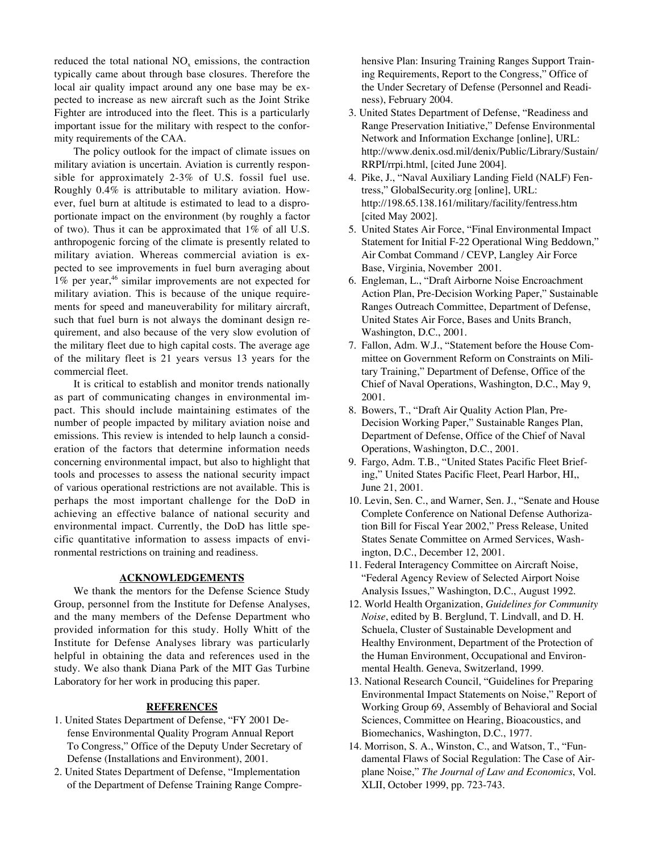reduced the total national  $NO<sub>x</sub>$  emissions, the contraction typically came about through base closures. Therefore the local air quality impact around any one base may be expected to increase as new aircraft such as the Joint Strike Fighter are introduced into the fleet. This is a particularly important issue for the military with respect to the conformity requirements of the CAA.

The policy outlook for the impact of climate issues on military aviation is uncertain. Aviation is currently responsible for approximately 2-3% of U.S. fossil fuel use. Roughly 0.4% is attributable to military aviation. However, fuel burn at altitude is estimated to lead to a disproportionate impact on the environment (by roughly a factor of two). Thus it can be approximated that 1% of all U.S. anthropogenic forcing of the climate is presently related to military aviation. Whereas commercial aviation is expected to see improvements in fuel burn averaging about  $1\%$  per year,<sup>46</sup> similar improvements are not expected for military aviation. This is because of the unique requirements for speed and maneuverability for military aircraft, such that fuel burn is not always the dominant design requirement, and also because of the very slow evolution of the military fleet due to high capital costs. The average age of the military fleet is 21 years versus 13 years for the commercial fleet.

It is critical to establish and monitor trends nationally as part of communicating changes in environmental impact. This should include maintaining estimates of the number of people impacted by military aviation noise and emissions. This review is intended to help launch a consideration of the factors that determine information needs concerning environmental impact, but also to highlight that tools and processes to assess the national security impact of various operational restrictions are not available. This is perhaps the most important challenge for the DoD in achieving an effective balance of national security and environmental impact. Currently, the DoD has little specific quantitative information to assess impacts of environmental restrictions on training and readiness.

### **ACKNOWLEDGEMENTS**

We thank the mentors for the Defense Science Study Group, personnel from the Institute for Defense Analyses, and the many members of the Defense Department who provided information for this study. Holly Whitt of the Institute for Defense Analyses library was particularly helpful in obtaining the data and references used in the study. We also thank Diana Park of the MIT Gas Turbine Laboratory for her work in producing this paper.

### **REFERENCES**

- 1. United States Department of Defense, "FY 2001 Defense Environmental Quality Program Annual Report To Congress," Office of the Deputy Under Secretary of Defense (Installations and Environment), 2001.
- 2. United States Department of Defense, "Implementation of the Department of Defense Training Range Compre-

hensive Plan: Insuring Training Ranges Support Training Requirements, Report to the Congress," Office of the Under Secretary of Defense (Personnel and Readiness), February 2004.

- 3. United States Department of Defense, "Readiness and Range Preservation Initiative," Defense Environmental Network and Information Exchange [online], URL: http://www.denix.osd.mil/denix/Public/Library/Sustain/ RRPI/rrpi.html, [cited June 2004].
- 4. Pike, J., "Naval Auxiliary Landing Field (NALF) Fentress," GlobalSecurity.org [online], URL: http://198.65.138.161/military/facility/fentress.htm [cited May 2002].
- 5. United States Air Force, "Final Environmental Impact Statement for Initial F-22 Operational Wing Beddown," Air Combat Command / CEVP, Langley Air Force Base, Virginia, November 2001.
- 6. Engleman, L., "Draft Airborne Noise Encroachment Action Plan, Pre-Decision Working Paper," Sustainable Ranges Outreach Committee, Department of Defense, United States Air Force, Bases and Units Branch, Washington, D.C., 2001.
- 7. Fallon, Adm. W.J., "Statement before the House Committee on Government Reform on Constraints on Military Training," Department of Defense, Office of the Chief of Naval Operations, Washington, D.C., May 9, 2001.
- 8. Bowers, T., "Draft Air Quality Action Plan, Pre-Decision Working Paper," Sustainable Ranges Plan, Department of Defense, Office of the Chief of Naval Operations, Washington, D.C., 2001.
- 9. Fargo, Adm. T.B., "United States Pacific Fleet Briefing," United States Pacific Fleet, Pearl Harbor, HI,, June 21, 2001.
- 10. Levin, Sen. C., and Warner, Sen. J., "Senate and House Complete Conference on National Defense Authorization Bill for Fiscal Year 2002," Press Release, United States Senate Committee on Armed Services, Washington, D.C., December 12, 2001.
- 11. Federal Interagency Committee on Aircraft Noise, "Federal Agency Review of Selected Airport Noise Analysis Issues," Washington, D.C., August 1992.
- 12. World Health Organization, *Guidelines for Community Noise*, edited by B. Berglund, T. Lindvall, and D. H. Schuela, Cluster of Sustainable Development and Healthy Environment, Department of the Protection of the Human Environment, Occupational and Environmental Health. Geneva, Switzerland, 1999.
- 13. National Research Council, "Guidelines for Preparing Environmental Impact Statements on Noise," Report of Working Group 69, Assembly of Behavioral and Social Sciences, Committee on Hearing, Bioacoustics, and Biomechanics, Washington, D.C., 1977.
- 14. Morrison, S. A., Winston, C., and Watson, T., "Fundamental Flaws of Social Regulation: The Case of Airplane Noise," *The Journal of Law and Economics*, Vol. XLII, October 1999, pp. 723-743.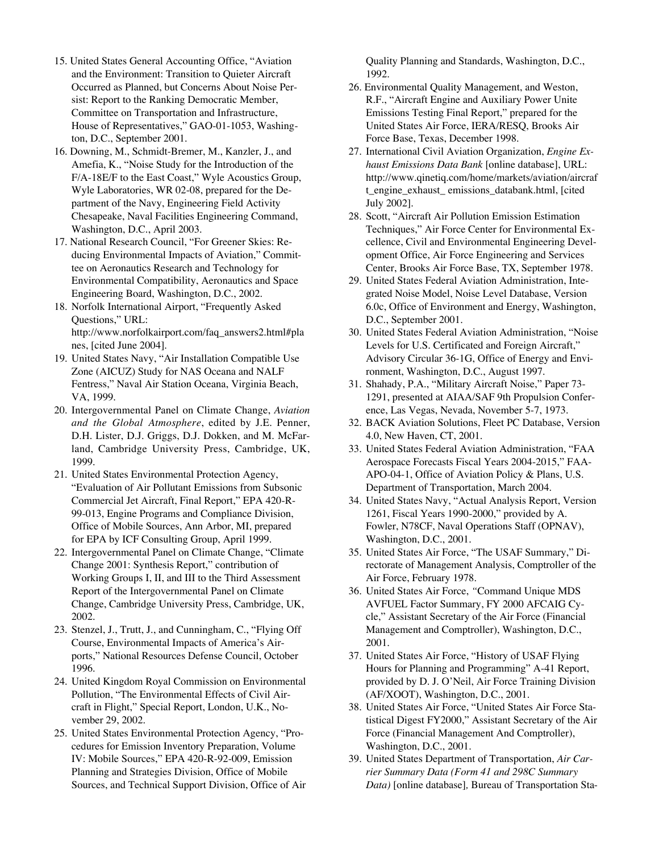- 15. United States General Accounting Office, "Aviation and the Environment: Transition to Quieter Aircraft Occurred as Planned, but Concerns About Noise Persist: Report to the Ranking Democratic Member, Committee on Transportation and Infrastructure, House of Representatives," GAO-01-1053, Washington, D.C., September 2001.
- 16. Downing, M., Schmidt-Bremer, M., Kanzler, J., and Amefia, K., "Noise Study for the Introduction of the F/A-18E/F to the East Coast," Wyle Acoustics Group, Wyle Laboratories, WR 02-08, prepared for the Department of the Navy, Engineering Field Activity Chesapeake, Naval Facilities Engineering Command, Washington, D.C., April 2003.
- 17. National Research Council, "For Greener Skies: Reducing Environmental Impacts of Aviation," Committee on Aeronautics Research and Technology for Environmental Compatibility, Aeronautics and Space Engineering Board, Washington, D.C., 2002.
- 18. Norfolk International Airport, "Frequently Asked Questions," URL: http://www.norfolkairport.com/faq\_answers2.html#pla nes, [cited June 2004].
- 19. United States Navy, "Air Installation Compatible Use Zone (AICUZ) Study for NAS Oceana and NALF Fentress," Naval Air Station Oceana, Virginia Beach, VA, 1999.
- 20. Intergovernmental Panel on Climate Change, *Aviation and the Global Atmosphere*, edited by J.E. Penner, D.H. Lister, D.J. Griggs, D.J. Dokken, and M. McFarland, Cambridge University Press, Cambridge, UK, 1999.
- 21. United States Environmental Protection Agency, "Evaluation of Air Pollutant Emissions from Subsonic Commercial Jet Aircraft, Final Report," EPA 420-R-99-013, Engine Programs and Compliance Division, Office of Mobile Sources, Ann Arbor, MI, prepared for EPA by ICF Consulting Group, April 1999.
- 22. Intergovernmental Panel on Climate Change, "Climate Change 2001: Synthesis Report," contribution of Working Groups I, II, and III to the Third Assessment Report of the Intergovernmental Panel on Climate Change, Cambridge University Press, Cambridge, UK, 2002.
- 23. Stenzel, J., Trutt, J., and Cunningham, C., "Flying Off Course, Environmental Impacts of America's Airports," National Resources Defense Council, October 1996.
- 24. United Kingdom Royal Commission on Environmental Pollution, "The Environmental Effects of Civil Aircraft in Flight," Special Report, London, U.K., November 29, 2002.
- 25. United States Environmental Protection Agency, "Procedures for Emission Inventory Preparation, Volume IV: Mobile Sources," EPA 420-R-92-009, Emission Planning and Strategies Division, Office of Mobile Sources, and Technical Support Division, Office of Air

Quality Planning and Standards, Washington, D.C., 1992.

- 26. Environmental Quality Management, and Weston, R.F., "Aircraft Engine and Auxiliary Power Unite Emissions Testing Final Report," prepared for the United States Air Force, IERA/RESQ, Brooks Air Force Base, Texas, December 1998.
- 27. International Civil Aviation Organization, *Engine Exhaust Emissions Data Bank* [online database], URL: http://www.qinetiq.com/home/markets/aviation/aircraf t\_engine\_exhaust\_emissions\_databank.html, [cited] July 2002].
- 28. Scott, "Aircraft Air Pollution Emission Estimation Techniques," Air Force Center for Environmental Excellence, Civil and Environmental Engineering Development Office, Air Force Engineering and Services Center, Brooks Air Force Base, TX, September 1978.
- 29. United States Federal Aviation Administration, Integrated Noise Model, Noise Level Database, Version 6.0c, Office of Environment and Energy, Washington, D.C., September 2001.
- 30. United States Federal Aviation Administration, "Noise Levels for U.S. Certificated and Foreign Aircraft," Advisory Circular 36-1G, Office of Energy and Environment, Washington, D.C., August 1997.
- 31. Shahady, P.A., "Military Aircraft Noise," Paper 73- 1291, presented at AIAA/SAF 9th Propulsion Conference, Las Vegas, Nevada, November 5-7, 1973.
- 32. BACK Aviation Solutions, Fleet PC Database, Version 4.0, New Haven, CT, 2001.
- 33. United States Federal Aviation Administration, "FAA Aerospace Forecasts Fiscal Years 2004-2015," FAA-APO-04-1, Office of Aviation Policy & Plans, U.S. Department of Transportation, March 2004.
- 34. United States Navy, "Actual Analysis Report, Version 1261, Fiscal Years 1990-2000," provided by A. Fowler, N78CF, Naval Operations Staff (OPNAV), Washington, D.C., 2001.
- 35. United States Air Force, "The USAF Summary," Directorate of Management Analysis, Comptroller of the Air Force, February 1978.
- 36. United States Air Force, *"*Command Unique MDS AVFUEL Factor Summary, FY 2000 AFCAIG Cycle," Assistant Secretary of the Air Force (Financial Management and Comptroller), Washington, D.C., 2001.
- 37. United States Air Force, "History of USAF Flying Hours for Planning and Programming" A-41 Report, provided by D. J. O'Neil, Air Force Training Division (AF/XOOT), Washington, D.C., 2001.
- 38. United States Air Force, "United States Air Force Statistical Digest FY2000," Assistant Secretary of the Air Force (Financial Management And Comptroller), Washington, D.C., 2001.
- 39. United States Department of Transportation, *Air Carrier Summary Data (Form 41 and 298C Summary Data)* [online database]*,* Bureau of Transportation Sta-